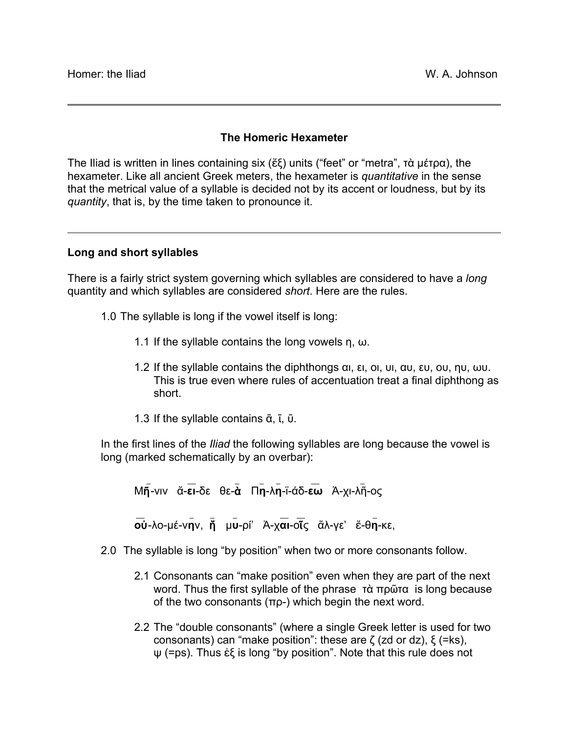## **The Homeric Hexameter**

The Iliad is written in lines containing six (ἕξ) units ("feet" or "metra", τὰ µέτρα), the hexameter. Like all ancient Greek meters, the hexameter is *quantitative* in the sense that the metrical value of a syllable is decided not by its accent or loudness, but by its *quantity*, that is, by the time taken to pronounce it.

## **Long and short syllables**

There is a fairly strict system governing which syllables are considered to have a *long* quantity and which syllables are considered *short*. Here are the rules.

- 1.0 The syllable is long if the vowel itself is long:
	- 1.1 If the syllable contains the long vowels  $\eta$ ,  $\omega$ .
	- 1.2 If the syllable contains the diphthongs αι, ει, οι, υι, αυ, ευ, ου, ηυ, ωυ. This is true even where rules of accentuation treat a final diphthong as short.
	- 1.3 If the syllable contains  $\bar{\alpha}$ ,  $\bar{\iota}$ ,  $\bar{\nu}$ .

In the first lines of the *Iliad* the following syllables are long because the vowel is long (marked schematically by an overbar):

 $\mathcal{L} = \{ \mathcal{L} \mid \mathcal{L} \in \mathcal{L} \}$  , where  $\mathcal{L} = \{ \mathcal{L} \mid \mathcal{L} \in \mathcal{L} \}$  , where  $\mathcal{L} = \{ \mathcal{L} \mid \mathcal{L} \in \mathcal{L} \}$ Μῆ-νιν ἄ-**ει**-δε θε-ὰ Π**η**-λ**η**-ϊ-άδ-**εω** Ἀ-χι-λῆ-ος  $\mathcal{L}$  , where  $\mathcal{L}$  is a set of  $\mathcal{L}$  , where  $\mathcal{L}$  is a set of  $\mathcal{L}$ **ο**ὐ-λο-µέ-ν**η**ν, ἥ µ**υ**-ρί' Ἀ-χ**αι**-οῖς ἄλ-γε' ἔ-θ**η**-κε,

2.0 The syllable is long "by position" when two or more consonants follow.

- 2.1 Consonants can "make position" even when they are part of the next word. Thus the first syllable of the phrase τὰ πρῶτα is long because of the two consonants (πρ-) which begin the next word.
- 2.2 The "double consonants" (where a single Greek letter is used for two consonants) can "make position": these are ζ (zd or dz), ξ (=ks), ψ (=ps). Thus ἐξ is long "by position". Note that this rule does not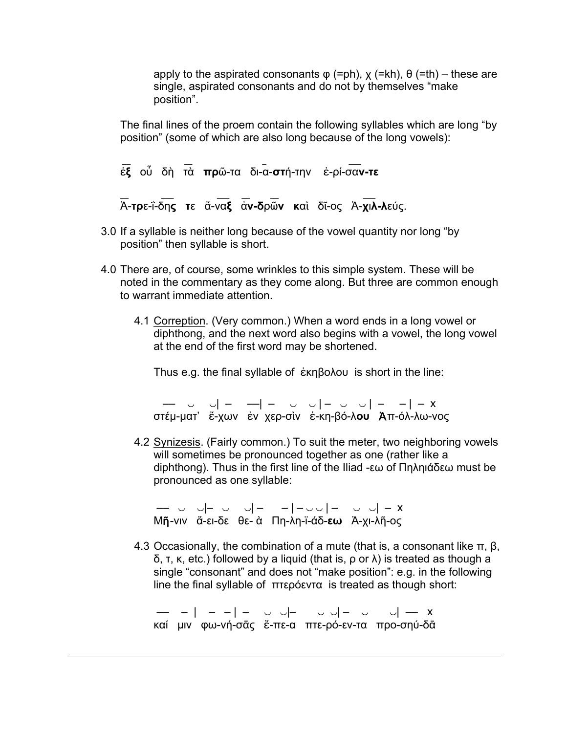apply to the aspirated consonants  $\varphi$  (=ph),  $\chi$  (=kh),  $\theta$  (=th) – these are single, aspirated consonants and do not by themselves "make position".

The final lines of the proem contain the following syllables which are long "by position" (some of which are also long because of the long vowels):

\_\_ \_\_ \_ \_\_\_ ἐ**ξ** οὗ δὴ τὰ **πρ**ῶ-τα δι-α-**στ**ή-την ἐ-ρί-σα**ν-τε**

\_ \_ \_ \_ \_ \_ \_ \_ \_ \_ \_ \_ \_ \_

Ἀ-**τρ**ε-ΐ-δη**ς τ**ε ἄ-να**ξ** ἀ**ν-δ**ρῶ**ν κ**αὶ δῖ-ος Ἀ-**χ**ι**λ-λ**εύς.

- 3.0 If a syllable is neither long because of the vowel quantity nor long "by position" then syllable is short.
- 4.0 There are, of course, some wrinkles to this simple system. These will be noted in the commentary as they come along. But three are common enough to warrant immediate attention.
	- 4.1 Correption. (Very common.) When a word ends in a long vowel or diphthong, and the next word also begins with a vowel, the long vowel at the end of the first word may be shortened.

Thus e.g. the final syllable of ἑκηβολου is short in the line:

 –– ‿ ‿| – ––| – ‿ ‿ | – ‿ ‿ | – – | – x στέµ-µατ' ἔ-χων ἐν χερ-σὶν ἑ-κη-βό-λ**ου** Ἀπ-όλ-λω-νος

4.2 Synizesis. (Fairly common.) To suit the meter, two neighboring vowels will sometimes be pronounced together as one (rather like a diphthong). Thus in the first line of the Iliad -εω of Πηληιάδεω must be pronounced as one syllable:

–– ‿ ‿|– ‿ ‿| – – | – ‿ ‿ | – ‿ ‿| – x Μῆ-νιν ἄ-ει-δε θε- ὰ Πη-λη-ϊ-άδ-**εω** Ἀ-χι-λῆ-ος

4.3 Occasionally, the combination of a mute (that is, a consonant like  $\pi$ ,  $\beta$ , δ, τ, κ, etc.) followed by a liquid (that is, ρ or λ) is treated as though a single "consonant" and does not "make position": e.g. in the following line the final syllable of πτερόεντα is treated as though short:

–– – | – – | – ‿ ‿|– ‿ ‿| – ‿ ‿| –– x καί µιν φω-νή-σᾱς ἔ-πε-α πτε-ρό-εν-τα προ-σηύ-δᾱ